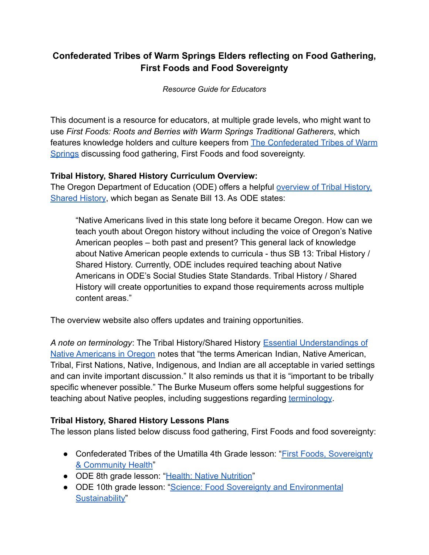# **Confederated Tribes of Warm Springs Elders reflecting on Food Gathering, First Foods and Food Sovereignty**

*Resource Guide for Educators*

This document is a resource for educators, at multiple grade levels, who might want to use *First Foods: Roots and Berries with Warm Springs Traditional Gatherers*, which features knowledge holders and culture keepers from [The Confederated Tribes of Warm](https://warmsprings-nsn.gov/) [Springs](https://warmsprings-nsn.gov/) discussing food gathering, First Foods and food sovereignty.

# **Tribal History, Shared History Curriculum Overview:**

The Oregon Department of Education (ODE) offers a helpful [overview of Tribal History,](https://www.oregon.gov/ode/students-and-family/equity/NativeAmericanEducation/Pages/Senate-Bill-13-Tribal-HistoryShared-History.aspx) [Shared History](https://www.oregon.gov/ode/students-and-family/equity/NativeAmericanEducation/Pages/Senate-Bill-13-Tribal-HistoryShared-History.aspx), which began as Senate Bill 13. As ODE states:

"Native Americans lived in this state long before it became Oregon. How can we teach youth about Oregon history without including the voice of Oregon's Native American peoples – both past and present? This general lack of knowledge about Native American people extends to curricula - thus SB 13: Tribal History / Shared History. Currently, ODE includes required teaching about Native Americans in ODE's Social Studies State Standards. Tribal History / Shared History will create opportunities to expand those requirements across multiple content areas."

The overview website also offers updates and training opportunities.

*A note on terminology*: The Tribal History/Shared History [Essential Understandings of](https://www.oregon.gov/ode/students-and-family/equity/NativeAmericanEducation/Documents/Essential%20Understandings%20of%20Native%20Americans%20in%20Oregon%20June%202020.pdf) Native Americans in Oregon [notes that "the terms American](https://www.oregon.gov/ode/students-and-family/equity/NativeAmericanEducation/Documents/Essential%20Understandings%20of%20Native%20Americans%20in%20Oregon%20June%202020.pdf) Indian, Native American, [Tribal, First Nations, Native, Indigenous, and Indian are all acceptable in varied settings](https://www.oregon.gov/ode/students-and-family/equity/NativeAmericanEducation/Documents/Essential%20Understandings%20of%20Native%20Americans%20in%20Oregon%20June%202020.pdf) [and can invite important discussion." It also reminds us that it is "important to be tribally](https://www.oregon.gov/ode/students-and-family/equity/NativeAmericanEducation/Documents/Essential%20Understandings%20of%20Native%20Americans%20in%20Oregon%20June%202020.pdf) [specific whenever possible.](https://www.oregon.gov/ode/students-and-family/equity/NativeAmericanEducation/Documents/Essential%20Understandings%20of%20Native%20Americans%20in%20Oregon%20June%202020.pdf)" The Burke Museum offers some helpful suggestions for teaching about Native peoples, including suggestions regarding [terminology](https://www.burkemuseum.org/education/learning-resources/tips-teaching-about-native-peoples).

# **Tribal History, Shared History Lessons Plans**

The lesson plans listed below discuss food gathering, First Foods and food sovereignty:

- Confederated Tribes of the Umatilla 4th Grade lesson: "[First Foods, Sovereignty](https://www.oregon.gov/ode/students-and-family/equity/NativeAmericanEducation/Pages/SB13-Umatilla.aspx) [& Community Health](https://www.oregon.gov/ode/students-and-family/equity/NativeAmericanEducation/Pages/SB13-Umatilla.aspx)"
- ODE 8th grade lesson: "[Health: Native Nutrition"](https://www.oregon.gov/ode/students-and-family/equity/NativeAmericanEducation/Pages/8th-Grade-Tribal-History-Lesson-Plans.aspx#e7a1702f-0efa-4e07-8ef9-4f379e95c295)
- ODE 10th grade lesson: ["Science: Food Sovereignty](https://www.oregon.gov/ode/students-and-family/equity/NativeAmericanEducation/Pages/10th-Grade-Tribal-History-Lesson-Plans.aspx) and Environmental [Sustainability"](https://www.oregon.gov/ode/students-and-family/equity/NativeAmericanEducation/Pages/10th-Grade-Tribal-History-Lesson-Plans.aspx)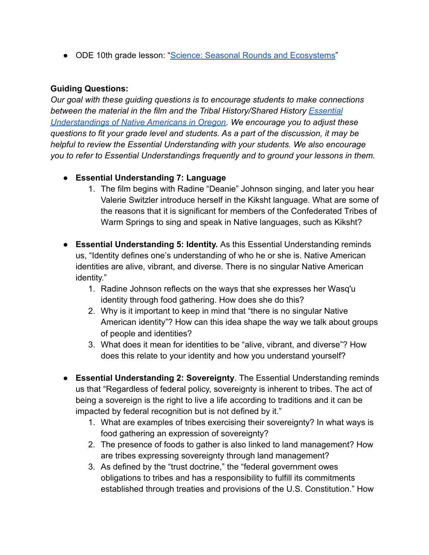● ODE 10th grade lesson: ["Science: Seasonal Rounds and Ecosystems"](https://www.oregon.gov/ode/students-and-family/equity/NativeAmericanEducation/Pages/10th-Grade-Tribal-History-Lesson-Plans.aspx)

### **Guiding Questions:**

*Our goal with these guiding questions is to encourage students to make connections between the material in the film and the Tribal History/Shared History [Essential](https://www.oregon.gov/ode/students-and-family/equity/NativeAmericanEducation/Documents/Essential%20Understandings%20of%20Native%20Americans%20in%20Oregon%20June%202020.pdf) [Understandings of Native Americans in Oregon.](https://www.oregon.gov/ode/students-and-family/equity/NativeAmericanEducation/Documents/Essential%20Understandings%20of%20Native%20Americans%20in%20Oregon%20June%202020.pdf) We encourage you to adjust these questions to fit your grade level and students. As a part of the discussion, it may be helpful to review the Essential Understanding with your students. We also encourage you to refer to Essential Understandings frequently and to ground your lessons in them.*

- **Essential Understanding 7: Language**
	- 1. The film begins with Radine "Deanie" Johnson singing, and later you hear Valerie Switzler introduce herself in the Kiksht language. What are some of the reasons that it is significant for members of the Confederated Tribes of Warm Springs to sing and speak in Native languages, such as Kiksht?
- **Essential Understanding 5: Identity.** As this Essential Understanding reminds us, "Identity defines one's understanding of who he or she is. Native American identities are alive, vibrant, and diverse. There is no singular Native American identity."
	- 1. Radine Johnson reflects on the ways that she expresses her Wasq'u identity through food gathering. How does she do this?
	- 2. Why is it important to keep in mind that "there is no singular Native American identity"? How can this idea shape the way we talk about groups of people and identities?
	- 3. What does it mean for identities to be "alive, vibrant, and diverse"? How does this relate to your identity and how you understand yourself?
- **Essential Understanding 2: Sovereignty**. The Essential Understanding reminds us that "Regardless of federal policy, sovereignty is inherent to tribes. The act of being a sovereign is the right to live a life according to traditions and it can be impacted by federal recognition but is not defined by it."
	- 1. What are examples of tribes exercising their sovereignty? In what ways is food gathering an expression of sovereignty?
	- 2. The presence of foods to gather is also linked to land management? How are tribes expressing sovereignty through land management?
	- 3. As defined by the "trust doctrine," the "federal government owes obligations to tribes and has a responsibility to fulfill its commitments established through treaties and provisions of the U.S. Constitution." How